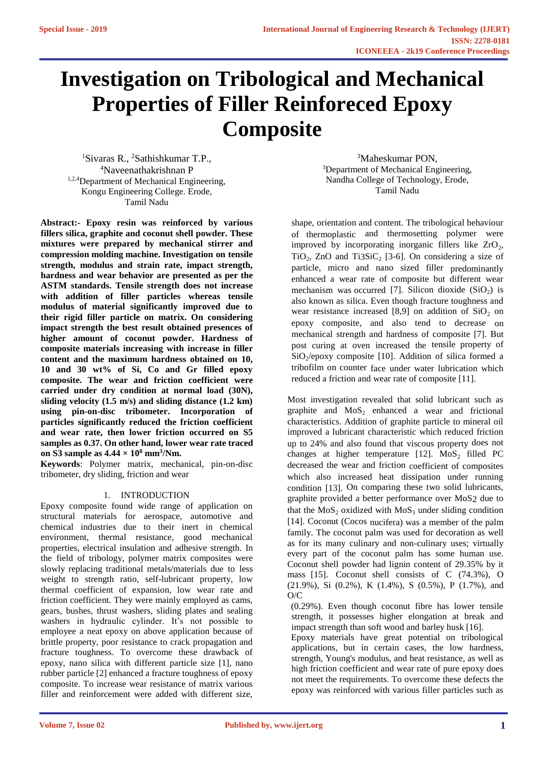# **Investigation on Tribological and Mechanical Properties of Filler Reinforeced Epoxy Composite**

<sup>1</sup>Sivaras R., <sup>2</sup>Sathishkumar T.P., <sup>4</sup>Naveenathakrishnan P <sup>1,2,4</sup>Department of Mechanical Engineering, Kongu Engineering College. Erode, Tamil Nadu

**Abstract:- Epoxy resin was reinforced by various fillers silica, graphite and coconut shell powder. These mixtures were prepared by mechanical stirrer and compression molding machine. Investigation on tensile strength, modulus and strain rate, impact strength, hardness and wear behavior are presented as per the ASTM standards. Tensile strength does not increase with addition of filler particles whereas tensile modulus of material significantly improved due to their rigid filler particle on matrix. On considering impact strength the best result obtained presences of higher amount of coconut powder. Hardness of composite materials increasing with increase in filler content and the maximum hardness obtained on 10, 10 and 30 wt% of Si, Co and Gr filled epoxy composite. The wear and friction coefficient were carried under dry condition at normal load (30N), sliding velocity (1.5 m/s) and sliding distance (1.2 km) using pin-on-disc tribometer. Incorporation of particles significantly reduced the friction coefficient and wear rate, then lower friction occurred on S5 samples as 0.37. On other hand, lower wear rate traced on S3 sample as**  $4.44 \times 10^8$  **mm<sup>3</sup>/Nm.** 

**Keywords**: Polymer matrix, mechanical, pin-on-disc tribometer, dry sliding, friction and wear

# 1. INTRODUCTION

Epoxy composite found wide range of application on structural materials for aerospace, automotive and chemical industries due to their inert in chemical environment, thermal resistance, good mechanical properties, electrical insulation and adhesive strength. In the field of tribology, polymer matrix composites were slowly replacing traditional metals/materials due to less weight to strength ratio, self-lubricant property, low thermal coefficient of expansion, low wear rate and friction coefficient. They were mainly employed as cams, gears, bushes, thrust washers, sliding plates and sealing washers in hydraulic cylinder. It's not possible to employee a neat epoxy on above application because of brittle property, poor resistance to crack propagation and fracture toughness. To overcome these drawback of epoxy, nano silica with different particle size [1], nano rubber particle [2] enhanced a fracture toughness of epoxy composite. To increase wear resistance of matrix various filler and reinforcement were added with different size,

<sup>3</sup>Maheskumar PON, <sup>3</sup>Department of Mechanical Engineering, Nandha College of Technology, Erode, Tamil Nadu

shape, orientation and content. The tribological behaviour of thermoplastic and thermosetting polymer were improved by incorporating inorganic fillers like  $ZrO_2$ , TiO<sub>2</sub>, ZnO and Ti3SiC<sub>2</sub> [3-6]. On considering a size of particle, micro and nano sized filler predominantly enhanced a wear rate of composite but different wear mechanism was occurred [7]. Silicon dioxide  $(SiO<sub>2</sub>)$  is also known as silica. Even though fracture toughness and wear resistance increased [8,9] on addition of  $SiO<sub>2</sub>$  on epoxy composite, and also tend to decrease on mechanical strength and hardness of composite [7]. But post curing at oven increased the tensile property of  $SiO<sub>2</sub>$ /epoxy composite [10]. Addition of silica formed a tribofilm on counter face under water lubrication which reduced a friction and wear rate of composite [11].

Most investigation revealed that solid lubricant such as graphite and  $MoS<sub>2</sub>$  enhanced a wear and frictional characteristics. Addition of graphite particle to mineral oil improved a lubricant characteristic which reduced friction up to 24% and also found that viscous property does not changes at higher temperature [12].  $MoS_2$  filled PC decreased the wear and friction coefficient of composites which also increased heat dissipation under running condition [13]. On comparing these two solid lubricants, graphite provided a better performance over MoS2 due to that the  $MoS_2$  oxidized with  $MoS_3$  under sliding condition [14]. Coconut (Cocos nucifera) was a member of the palm family. The coconut palm was used for decoration as well as for its many culinary and non-culinary uses; virtually every part of the coconut palm has some human use. Coconut shell powder had lignin content of 29.35% by it mass [15]. Coconut shell consists of C (74.3%), O (21.9%), Si (0.2%), K (1.4%), S (0.5%), P (1.7%), and  $O/C$ 

(0.29%). Even though coconut fibre has lower tensile strength, it possesses higher elongation at break and impact strength than soft wood and barley husk [16].

Epoxy materials have great potential on tribological applications, but in certain cases, the low hardness, strength, Young's modulus, and heat resistance, as well as high friction coefficient and wear rate of pure epoxy does not meet the requirements. To overcome these defects the epoxy was reinforced with various filler particles such as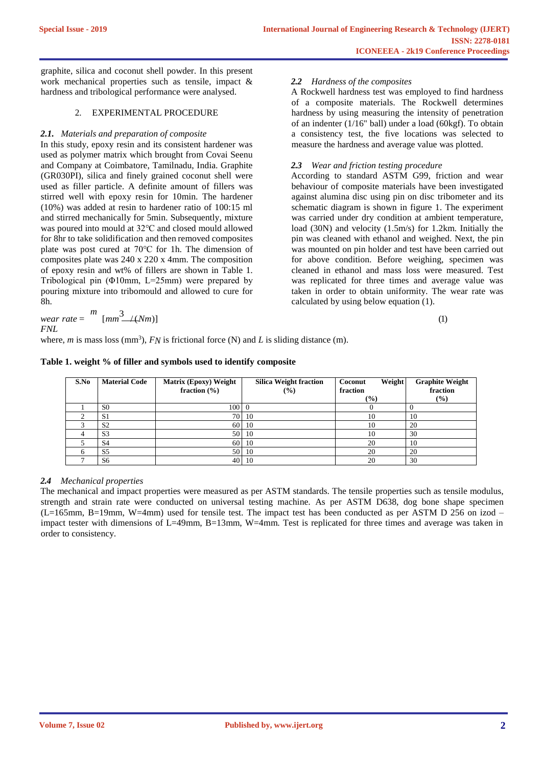graphite, silica and coconut shell powder. In this present work mechanical properties such as tensile, impact & hardness and tribological performance were analysed.

# 2. EXPERIMENTAL PROCEDURE

# *2.1. Materials and preparation of composite*

In this study, epoxy resin and its consistent hardener was used as polymer matrix which brought from Covai Seenu and Company at Coimbatore, Tamilnadu, India. Graphite (GR030PI), silica and finely grained coconut shell were used as filler particle. A definite amount of fillers was stirred well with epoxy resin for 10min. The hardener (10%) was added at resin to hardener ratio of 100:15 ml and stirred mechanically for 5min. Subsequently, mixture was poured into mould at 32℃ and closed mould allowed for 8hr to take solidification and then removed composites plate was post cured at 70℃ for 1h. The dimension of composites plate was 240 x 220 x 4mm. The composition of epoxy resin and wt% of fillers are shown in Table 1. Tribological pin (Φ10mm, L=25mm) were prepared by pouring mixture into tribomould and allowed to cure for 8h.

*2.2 Hardness of the composites*

A Rockwell hardness test was employed to find hardness of a composite materials. The Rockwell determines hardness by using measuring the intensity of penetration of an indenter (1/16" ball) under a load (60kgf). To obtain a consistency test, the five locations was selected to measure the hardness and average value was plotted.

# *2.3 Wear and friction testing procedure*

According to standard ASTM G99, friction and wear behaviour of composite materials have been investigated against alumina disc using pin on disc tribometer and its schematic diagram is shown in figure 1. The experiment was carried under dry condition at ambient temperature, load (30N) and velocity (1.5m/s) for 1.2km. Initially the pin was cleaned with ethanol and weighed. Next, the pin was mounted on pin holder and test have been carried out for above condition. Before weighing, specimen was cleaned in ethanol and mass loss were measured. Test was replicated for three times and average value was taken in order to obtain uniformity. The wear rate was calculated by using below equation (1).

| wear rate = $\binom{m}{m}$ $\frac{3}{2\pi}$ $\left(\frac{N}{m}\right)$ |  |
|------------------------------------------------------------------------|--|
|                                                                        |  |

*FNL*

where,  $m$  is mass loss (mm<sup>3</sup>),  $FN$  is frictional force (N) and  $L$  is sliding distance (m).

| S.No | <b>Material Code</b> | <b>Matrix (Epoxy) Weight</b><br>fraction $(\% )$ | <b>Silica Weight fraction</b><br>$($ %) | <b>Weight</b><br>Coconut<br>fraction<br>(%) | <b>Graphite Weight</b><br>fraction<br>$\left(\frac{0}{0}\right)$ |
|------|----------------------|--------------------------------------------------|-----------------------------------------|---------------------------------------------|------------------------------------------------------------------|
|      | S <sub>0</sub>       | 100 0                                            |                                         |                                             |                                                                  |
|      | S <sub>1</sub>       |                                                  | 70 10                                   | 10                                          | 10                                                               |
|      | S <sub>2</sub>       |                                                  | 60 10                                   | 10                                          | 20                                                               |
|      | S <sub>3</sub>       |                                                  | 50 10                                   | 10                                          | 30                                                               |
|      | S <sub>4</sub>       |                                                  | 60 10                                   | 20                                          | 10                                                               |
|      | S <sub>5</sub>       | 50                                               | 10                                      | 20                                          | 20                                                               |
|      | S6                   |                                                  | 40 10                                   | 20                                          | 30                                                               |

#### **Table 1. weight % of filler and symbols used to identify composite**

# *2.4 Mechanical properties*

The mechanical and impact properties were measured as per ASTM standards. The tensile properties such as tensile modulus, strength and strain rate were conducted on universal testing machine. As per ASTM D638, dog bone shape specimen (L=165mm, B=19mm, W=4mm) used for tensile test. The impact test has been conducted as per ASTM D 256 on izod – impact tester with dimensions of L=49mm, B=13mm, W=4mm. Test is replicated for three times and average was taken in order to consistency.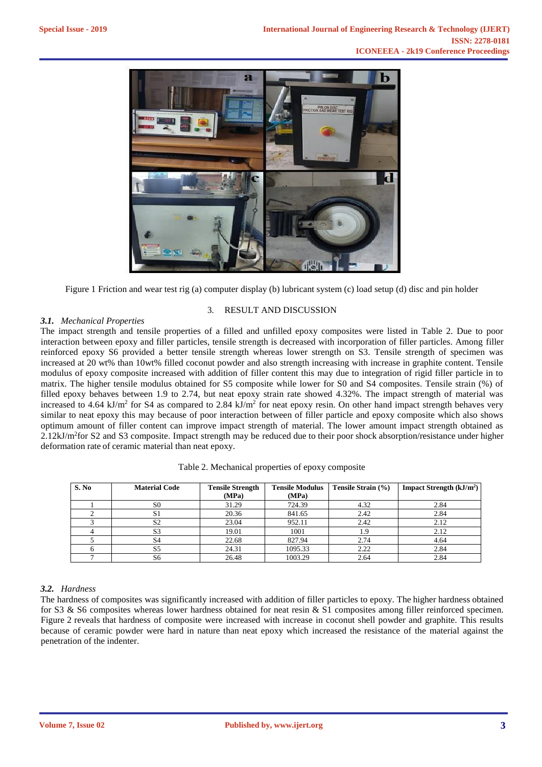

Figure 1 Friction and wear test rig (a) computer display (b) lubricant system (c) load setup (d) disc and pin holder

3. RESULT AND DISCUSSION

## *3.1. Mechanical Properties*

The impact strength and tensile properties of a filled and unfilled epoxy composites were listed in Table 2. Due to poor interaction between epoxy and filler particles, tensile strength is decreased with incorporation of filler particles. Among filler reinforced epoxy S6 provided a better tensile strength whereas lower strength on S3. Tensile strength of specimen was increased at 20 wt% than 10wt% filled coconut powder and also strength increasing with increase in graphite content. Tensile modulus of epoxy composite increased with addition of filler content this may due to integration of rigid filler particle in to matrix. The higher tensile modulus obtained for S5 composite while lower for S0 and S4 composites. Tensile strain (%) of filled epoxy behaves between 1.9 to 2.74, but neat epoxy strain rate showed 4.32%. The impact strength of material was increased to 4.64 kJ/m<sup>2</sup> for S4 as compared to 2.84 kJ/m<sup>2</sup> for neat epoxy resin. On other hand impact strength behaves very similar to neat epoxy this may because of poor interaction between of filler particle and epoxy composite which also shows optimum amount of filler content can improve impact strength of material. The lower amount impact strength obtained as  $2.12 \text{kJ/m}^2$  for S2 and S3 composite. Impact strength may be reduced due to their poor shock absorption/resistance under higher deformation rate of ceramic material than neat epoxy.

| S. No | <b>Material Code</b> | <b>Tensile Strength</b> | <b>Tensile Modulus</b> | Tensile Strain (%) | <b>Impact Strength <math>(kJ/m2)</math></b> |
|-------|----------------------|-------------------------|------------------------|--------------------|---------------------------------------------|
|       |                      | (MPa)                   | (MPa)                  |                    |                                             |
|       | S <sub>0</sub>       | 31.29                   | 724.39                 | 4.32               | 2.84                                        |
|       | Э.                   | 20.36                   | 841.65                 | 2.42               | 2.84                                        |
|       | S <sub>2</sub>       | 23.04                   | 952.11                 | 2.42               | 2.12                                        |
|       | S3                   | 19.01                   | 1001                   | 1.9                | 2.12                                        |
|       | S4                   | 22.68                   | 827.94                 | 2.74               | 4.64                                        |
|       | S5                   | 24.31                   | 1095.33                | 2.22               | 2.84                                        |
|       | S6                   | 26.48                   | 1003.29                | 2.64               | 2.84                                        |

Table 2. Mechanical properties of epoxy composite

## *3.2. Hardness*

The hardness of composites was significantly increased with addition of filler particles to epoxy. The higher hardness obtained for S3 & S6 composites whereas lower hardness obtained for neat resin & S1 composites among filler reinforced specimen. Figure 2 reveals that hardness of composite were increased with increase in coconut shell powder and graphite. This results because of ceramic powder were hard in nature than neat epoxy which increased the resistance of the material against the penetration of the indenter.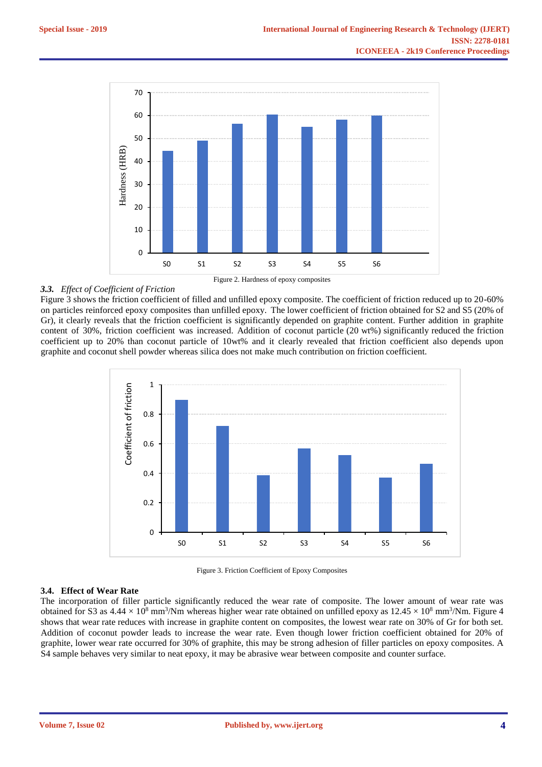

# Figure 2. Hardness of epoxy composites

## *3.3. Effect of Coefficient of Friction*

Figure 3 shows the friction coefficient of filled and unfilled epoxy composite. The coefficient of friction reduced up to 20-60% on particles reinforced epoxy composites than unfilled epoxy. The lower coefficient of friction obtained for S2 and S5 (20% of Gr), it clearly reveals that the friction coefficient is significantly depended on graphite content. Further addition in graphite content of 30%, friction coefficient was increased. Addition of coconut particle (20 wt%) significantly reduced the friction coefficient up to 20% than coconut particle of 10wt% and it clearly revealed that friction coefficient also depends upon graphite and coconut shell powder whereas silica does not make much contribution on friction coefficient.





#### **3.4. Effect of Wear Rate**

The incorporation of filler particle significantly reduced the wear rate of composite. The lower amount of wear rate was obtained for S3 as  $4.44 \times 10^8$  mm<sup>3</sup>/Nm whereas higher wear rate obtained on unfilled epoxy as  $12.45 \times 10^8$  mm<sup>3</sup>/Nm. Figure 4 shows that wear rate reduces with increase in graphite content on composites, the lowest wear rate on 30% of Gr for both set. Addition of coconut powder leads to increase the wear rate. Even though lower friction coefficient obtained for 20% of graphite, lower wear rate occurred for 30% of graphite, this may be strong adhesion of filler particles on epoxy composites. A S4 sample behaves very similar to neat epoxy, it may be abrasive wear between composite and counter surface.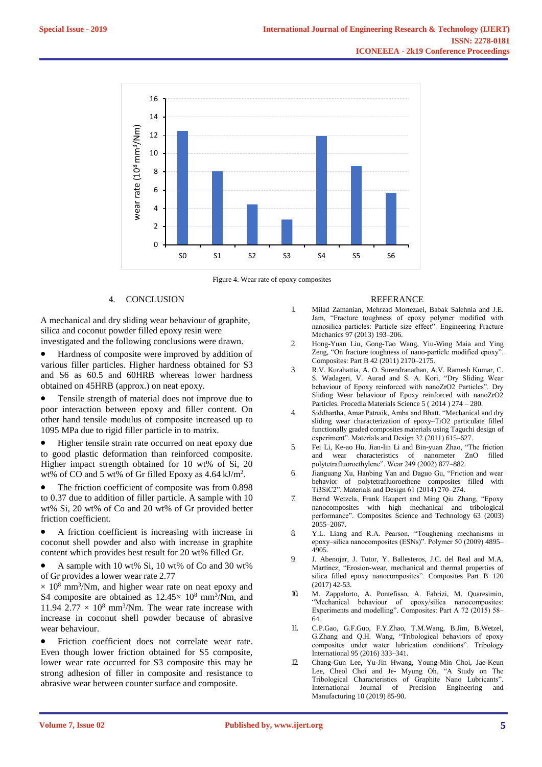

Figure 4. Wear rate of epoxy composites

## 4. CONCLUSION

A mechanical and dry sliding wear behaviour of graphite, silica and coconut powder filled epoxy resin were investigated and the following conclusions were drawn.

- Hardness of composite were improved by addition of various filler particles. Higher hardness obtained for S3 and S6 as 60.5 and 60HRB whereas lower hardness obtained on 45HRB (approx.) on neat epoxy.
- Tensile strength of material does not improve due to poor interaction between epoxy and filler content. On other hand tensile modulus of composite increased up to 1095 MPa due to rigid filler particle in to matrix.
- Higher tensile strain rate occurred on neat epoxy due to good plastic deformation than reinforced composite. Higher impact strength obtained for 10 wt% of Si, 20 wt% of CO and 5 wt% of Gr filled Epoxy as  $4.64 \text{ kJ/m}^2$ .
- The friction coefficient of composite was from 0.898 to 0.37 due to addition of filler particle. A sample with 10 wt% Si, 20 wt% of Co and 20 wt% of Gr provided better friction coefficient.
- A friction coefficient is increasing with increase in coconut shell powder and also with increase in graphite content which provides best result for 20 wt% filled Gr.
- A sample with 10 wt% Si, 10 wt% of Co and 30 wt% of Gr provides a lower wear rate 2.77
- $\times$  10<sup>8</sup> mm<sup>3</sup>/Nm, and higher wear rate on neat epoxy and S4 composite are obtained as  $12.45 \times 10^8$  mm<sup>3</sup>/Nm, and 11.94 2.77  $\times$  10<sup>8</sup> mm<sup>3</sup>/Nm. The wear rate increase with increase in coconut shell powder because of abrasive wear behaviour.
- Friction coefficient does not correlate wear rate. Even though lower friction obtained for S5 composite, lower wear rate occurred for S3 composite this may be strong adhesion of filler in composite and resistance to abrasive wear between counter surface and composite.

#### REFERANCE

- 1. Milad Zamanian, Mehrzad Mortezaei, Babak Salehnia and J.E. Jam, "Fracture toughness of epoxy polymer modified with nanosilica particles: Particle size effect". Engineering Fracture Mechanics 97 (2013) 193–206.
- 2. Hong-Yuan Liu, Gong-Tao Wang, Yiu-Wing Maia and Ying Zeng, "On fracture toughness of nano-particle modified epoxy". Composites: Part B 42 (2011) 2170–2175.
- 3. R.V. Kurahattia, A. O. Surendranathan, A.V. Ramesh Kumar, C. S. Wadageri, V. Aurad and S. A. Kori, "Dry Sliding Wear behaviour of Epoxy reinforced with nanoZrO2 Particles". Dry Sliding Wear behaviour of Epoxy reinforced with nanoZrO2 Particles. Procedia Materials Science 5 ( 2014 ) 274 – 280.
- 4. Siddhartha, Amar Patnaik, Amba and Bhatt, "Mechanical and dry sliding wear characterization of epoxy–TiO2 particulate filled functionally graded composites materials using Taguchi design of experiment". Materials and Design 32 (2011) 615–627.
- 5. Fei Li, Ke-ao Hu, Jian-lin Li and Bin-yuan Zhao, "The friction and wear characteristics of nanometer ZnO filled polytetrafluoroethylene". Wear 249 (2002) 877–882.
- 6. Jianguang Xu, Hanbing Yan and Daguo Gu, "Friction and wear behavior of polytetrafluoroethene composites filled with Ti3SiC2". Materials and Design 61 (2014) 270–274.
- 7. Bernd Wetzela, Frank Haupert and Ming Qiu Zhang, "Epoxy nanocomposites with high mechanical and tribological performance". Composites Science and Technology 63 (2003) 2055–2067.
- 8. Y.L. Liang and R.A. Pearson, "Toughening mechanisms in epoxy–silica nanocomposites (ESNs)". Polymer 50 (2009) 4895– 4905.
- 9. J. Abenojar, J. Tutor, Y. Ballesteros, J.C. del Real and M.A. Martínez, "Erosion-wear, mechanical and thermal properties of silica filled epoxy nanocomposites". Composites Part B 120 (2017) 42-53.
- 10. M. Zappalorto, A. Pontefisso, A. Fabrizi, M. Quaresimin, "Mechanical behaviour of epoxy/silica nanocomposites: Experiments and modelling". Composites: Part A 72 (2015) 58– 64.
- 11. C.P.Gao, G.F.Guo, F.Y.Zhao, T.M.Wang, B.Jim, B.Wetzel, G.Zhang and Q.H. Wang, "Tribological behaviors of epoxy composites under water lubrication conditions". Tribology International 95 (2016) 333–341.
- 12. Chang-Gun Lee, Yu-Jin Hwang, Young-Min Choi, Jae-Keun Lee, Cheol Choi and Je- Myung Oh, "A Study on The Tribological Characteristics of Graphite Nano Lubricants". International Journal of Precision Engineering and Manufacturing 10 (2019) 85-90.